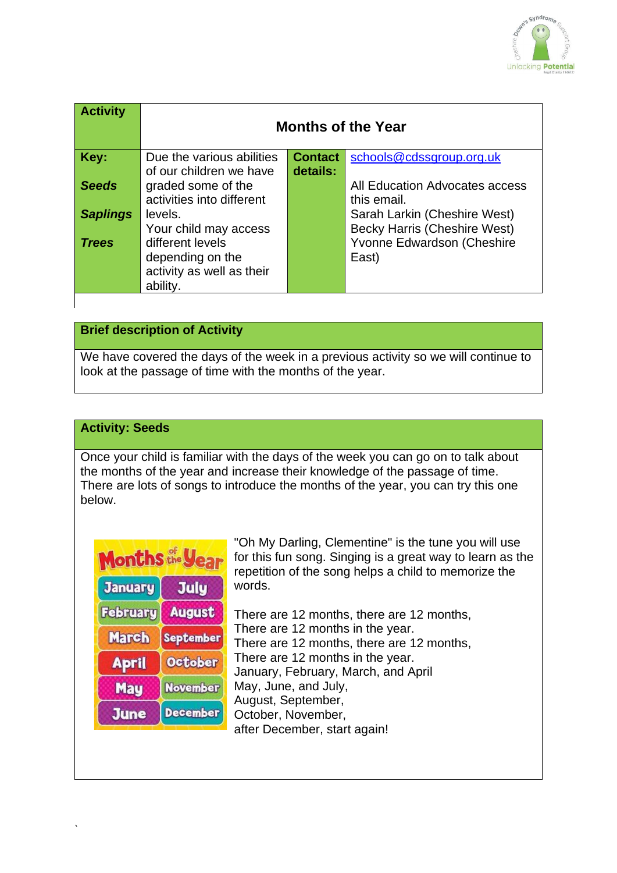

| <b>Activity</b> | <b>Months of the Year</b> |                |                                |
|-----------------|---------------------------|----------------|--------------------------------|
| Key:            | Due the various abilities | <b>Contact</b> | schools@cdssgroup.org.uk       |
|                 | of our children we have   | details:       |                                |
| <b>Seeds</b>    | graded some of the        |                | All Education Advocates access |
|                 | activities into different |                | this email.                    |
| <b>Saplings</b> | levels.                   |                | Sarah Larkin (Cheshire West)   |
|                 | Your child may access     |                | Becky Harris (Cheshire West)   |
| <b>Trees</b>    | different levels          |                | Yvonne Edwardson (Cheshire     |
|                 | depending on the          |                | East)                          |
|                 | activity as well as their |                |                                |
|                 | ability.                  |                |                                |

## **Brief description of Activity**

We have covered the days of the week in a previous activity so we will continue to look at the passage of time with the months of the year.

### **Activity: Seeds**

Once your child is familiar with the days of the week you can go on to talk about the months of the year and increase their knowledge of the passage of time. There are lots of songs to introduce the months of the year, you can try this one below.

| Months the year |                 |  |  |
|-----------------|-----------------|--|--|
| <b>January</b>  | <b>July</b>     |  |  |
| <b>February</b> | <b>August</b>   |  |  |
| <b>March</b>    | September       |  |  |
| <b>April</b>    | <b>October</b>  |  |  |
| <b>May</b>      | <b>November</b> |  |  |
| <b>June</b>     | <b>December</b> |  |  |

`

"Oh My Darling, Clementine" is the tune you will use for this fun song. Singing is a great way to learn as the repetition of the song helps a child to memorize the words.

There are 12 months, there are 12 months, There are 12 months in the year. There are 12 months, there are 12 months, There are 12 months in the year. January, February, March, and April May, June, and July, August, September, October, November, after December, start again!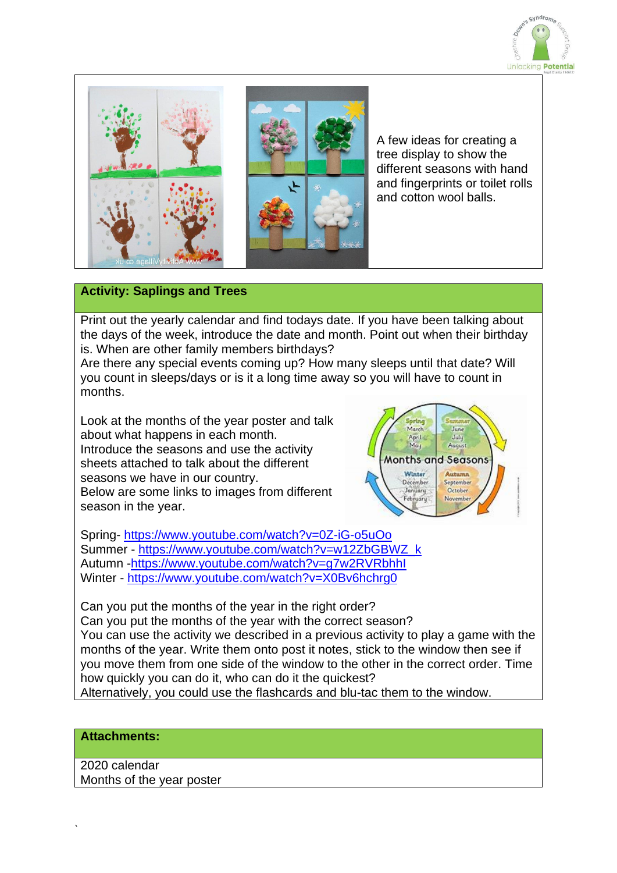



A few ideas for creating a tree display to show the different seasons with hand and fingerprints or toilet rolls and cotton wool balls.

### **Activity: Saplings and Trees**

Print out the yearly calendar and find todays date. If you have been talking about the days of the week, introduce the date and month. Point out when their birthday is. When are other family members birthdays?

Are there any special events coming up? How many sleeps until that date? Will you count in sleeps/days or is it a long time away so you will have to count in months.

Look at the months of the year poster and talk about what happens in each month. Introduce the seasons and use the activity sheets attached to talk about the different seasons we have in our country. Below are some links to images from different season in the year.



Spring- <https://www.youtube.com/watch?v=0Z-iG-o5uOo> Summer - [https://www.youtube.com/watch?v=w12ZbGBWZ\\_k](https://www.youtube.com/watch?v=w12ZbGBWZ_k) Autumn [-https://www.youtube.com/watch?v=g7w2RVRbhhI](https://www.youtube.com/watch?v=g7w2RVRbhhI) Winter - <https://www.youtube.com/watch?v=X0Bv6hchrg0>

Can you put the months of the year in the right order? Can you put the months of the year with the correct season? You can use the activity we described in a previous activity to play a game with the months of the year. Write them onto post it notes, stick to the window then see if you move them from one side of the window to the other in the correct order. Time how quickly you can do it, who can do it the quickest? Alternatively, you could use the flashcards and blu-tac them to the window.

#### **Attachments:**

2020 calendar Months of the year poster